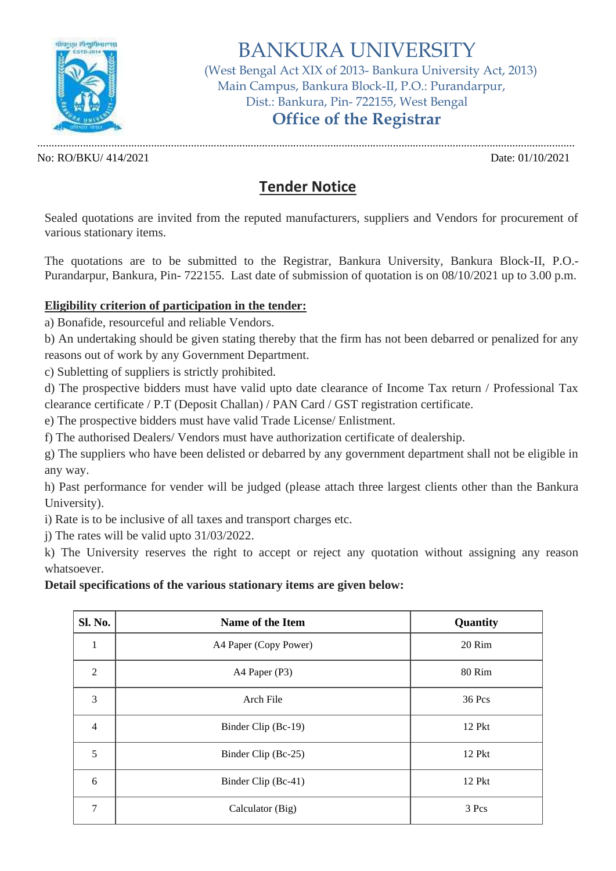

# BANKURA UNIVERSITY

 (West Bengal Act XIX of 2013- Bankura University Act, 2013) Main Campus, Bankura Block-II, P.O.: Purandarpur, Dist.: Bankura, Pin- 722155, West Bengal

## **Office of the Registrar**

No: RO/BKU/ 414/2021 Date: 01/10/2021

.............................................................................................................................................................................................

## **Tender Notice**

Sealed quotations are invited from the reputed manufacturers, suppliers and Vendors for procurement of various stationary items.

The quotations are to be submitted to the Registrar, Bankura University, Bankura Block-II, P.O.- Purandarpur, Bankura, Pin- 722155. Last date of submission of quotation is on 08/10/2021 up to 3.00 p.m.

#### **Eligibility criterion of participation in the tender:**

a) Bonafide, resourceful and reliable Vendors.

b) An undertaking should be given stating thereby that the firm has not been debarred or penalized for any reasons out of work by any Government Department.

c) Subletting of suppliers is strictly prohibited.

d) The prospective bidders must have valid upto date clearance of Income Tax return / Professional Tax clearance certificate / P.T (Deposit Challan) / PAN Card / GST registration certificate.

e) The prospective bidders must have valid Trade License/ Enlistment.

f) The authorised Dealers/ Vendors must have authorization certificate of dealership.

g) The suppliers who have been delisted or debarred by any government department shall not be eligible in any way.

h) Past performance for vender will be judged (please attach three largest clients other than the Bankura University).

i) Rate is to be inclusive of all taxes and transport charges etc.

j) The rates will be valid upto 31/03/2022.

k) The University reserves the right to accept or reject any quotation without assigning any reason whatsoever.

#### **Detail specifications of the various stationary items are given below:**

| Sl. No.        | <b>Name of the Item</b> | Quantity |
|----------------|-------------------------|----------|
| $\mathbf{1}$   | A4 Paper (Copy Power)   | 20 Rim   |
| $\overline{2}$ | A4 Paper (P3)           | 80 Rim   |
| 3              | Arch File               | 36 Pcs   |
| $\overline{4}$ | Binder Clip (Bc-19)     | 12 Pkt   |
| 5              | Binder Clip (Bc-25)     | 12 Pkt   |
| 6              | Binder Clip (Bc-41)     | 12 Pkt   |
| 7              | Calculator (Big)        | 3 Pcs    |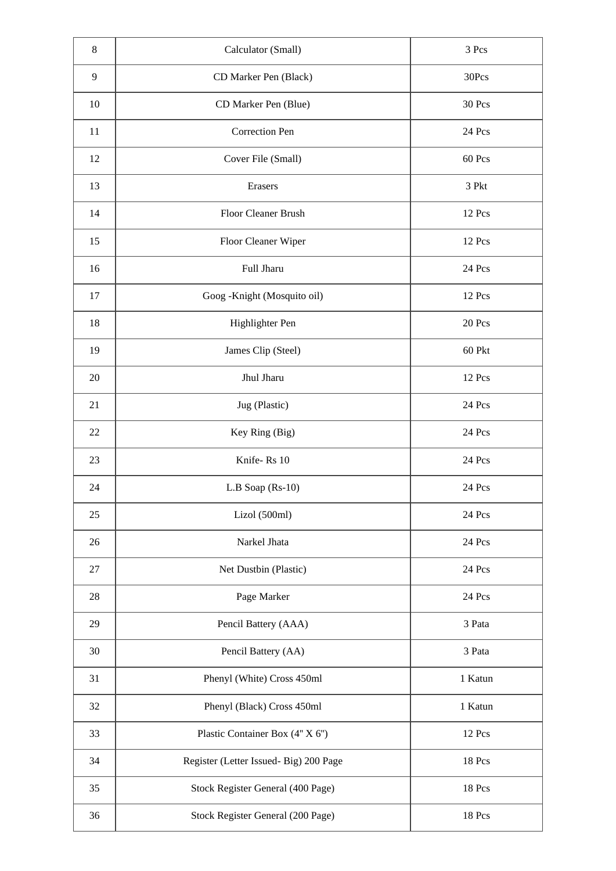| 8  | Calculator (Small)                     | 3 Pcs   |
|----|----------------------------------------|---------|
| 9  | CD Marker Pen (Black)                  | 30Pcs   |
| 10 | CD Marker Pen (Blue)                   | 30 Pcs  |
| 11 | Correction Pen                         | 24 Pcs  |
| 12 | Cover File (Small)                     | 60 Pcs  |
| 13 | <b>Erasers</b>                         | 3 Pkt   |
| 14 | <b>Floor Cleaner Brush</b>             | 12 Pcs  |
| 15 | Floor Cleaner Wiper                    | 12 Pcs  |
| 16 | Full Jharu                             | 24 Pcs  |
| 17 | Goog - Knight (Mosquito oil)           | 12 Pcs  |
| 18 | Highlighter Pen                        | 20 Pcs  |
| 19 | James Clip (Steel)                     | 60 Pkt  |
| 20 | Jhul Jharu                             | 12 Pcs  |
| 21 | Jug (Plastic)                          | 24 Pcs  |
| 22 | Key Ring (Big)                         | 24 Pcs  |
| 23 | Knife-Rs 10                            | 24 Pcs  |
| 24 | L.B Soap (Rs-10)                       | 24 Pcs  |
| 25 | Lizol (500ml)                          | 24 Pcs  |
| 26 | Narkel Jhata                           | 24 Pcs  |
| 27 | Net Dustbin (Plastic)                  | 24 Pcs  |
| 28 | Page Marker                            | 24 Pcs  |
| 29 | Pencil Battery (AAA)                   | 3 Pata  |
| 30 | Pencil Battery (AA)                    | 3 Pata  |
| 31 | Phenyl (White) Cross 450ml             | 1 Katun |
| 32 | Phenyl (Black) Cross 450ml             | 1 Katun |
| 33 | Plastic Container Box (4" X 6")        | 12 Pcs  |
| 34 | Register (Letter Issued- Big) 200 Page | 18 Pcs  |
| 35 | Stock Register General (400 Page)      | 18 Pcs  |
| 36 | Stock Register General (200 Page)      | 18 Pcs  |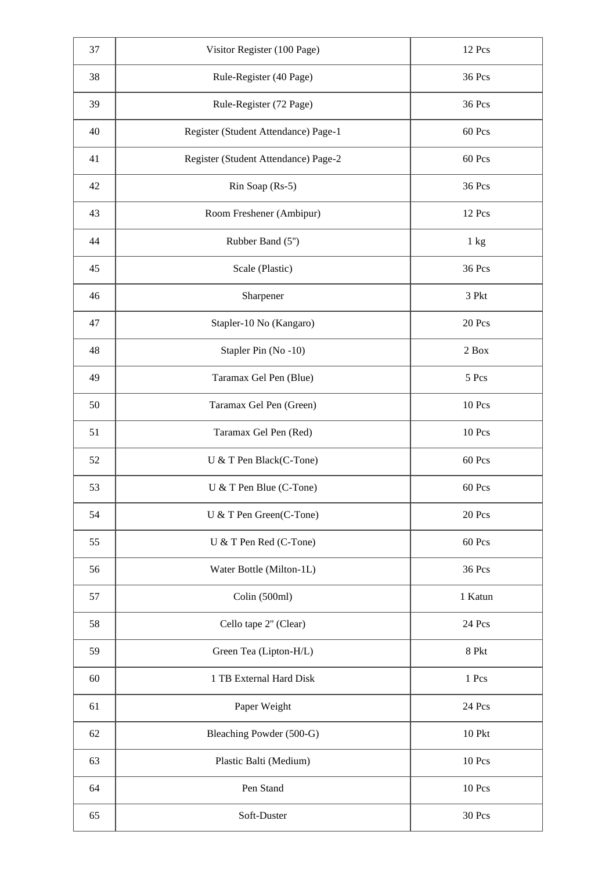| 37 | Visitor Register (100 Page)          | 12 Pcs        |
|----|--------------------------------------|---------------|
| 38 | Rule-Register (40 Page)              | 36 Pcs        |
| 39 | Rule-Register (72 Page)              | 36 Pcs        |
| 40 | Register (Student Attendance) Page-1 | 60 Pcs        |
| 41 | Register (Student Attendance) Page-2 | 60 Pcs        |
| 42 | Rin Soap (Rs-5)                      | 36 Pcs        |
| 43 | Room Freshener (Ambipur)             | 12 Pcs        |
| 44 | Rubber Band (5")                     | 1 kg          |
| 45 | Scale (Plastic)                      | 36 Pcs        |
| 46 | Sharpener                            | 3 Pkt         |
| 47 | Stapler-10 No (Kangaro)              | 20 Pcs        |
| 48 | Stapler Pin (No-10)                  | 2 Box         |
| 49 | Taramax Gel Pen (Blue)               | 5 Pcs         |
| 50 | Taramax Gel Pen (Green)              | 10 Pcs        |
| 51 | Taramax Gel Pen (Red)                | 10 Pcs        |
| 52 | U & T Pen Black(C-Tone)              | 60 Pcs        |
| 53 | U & T Pen Blue (C-Tone)              | 60 Pcs        |
| 54 | U & T Pen Green(C-Tone)              | 20 Pcs        |
| 55 | U & T Pen Red (C-Tone)               | 60 Pcs        |
| 56 | Water Bottle (Milton-1L)             | 36 Pcs        |
| 57 | Colin (500ml)                        | 1 Katun       |
| 58 | Cello tape 2" (Clear)                | 24 Pcs        |
| 59 | Green Tea (Lipton-H/L)               | 8 Pkt         |
| 60 | 1 TB External Hard Disk              | 1 Pcs         |
| 61 | Paper Weight                         | 24 Pcs        |
| 62 | Bleaching Powder (500-G)             | <b>10 Pkt</b> |
| 63 | Plastic Balti (Medium)               | 10 Pcs        |
| 64 | Pen Stand                            | 10 Pcs        |
| 65 | Soft-Duster                          | 30 Pcs        |